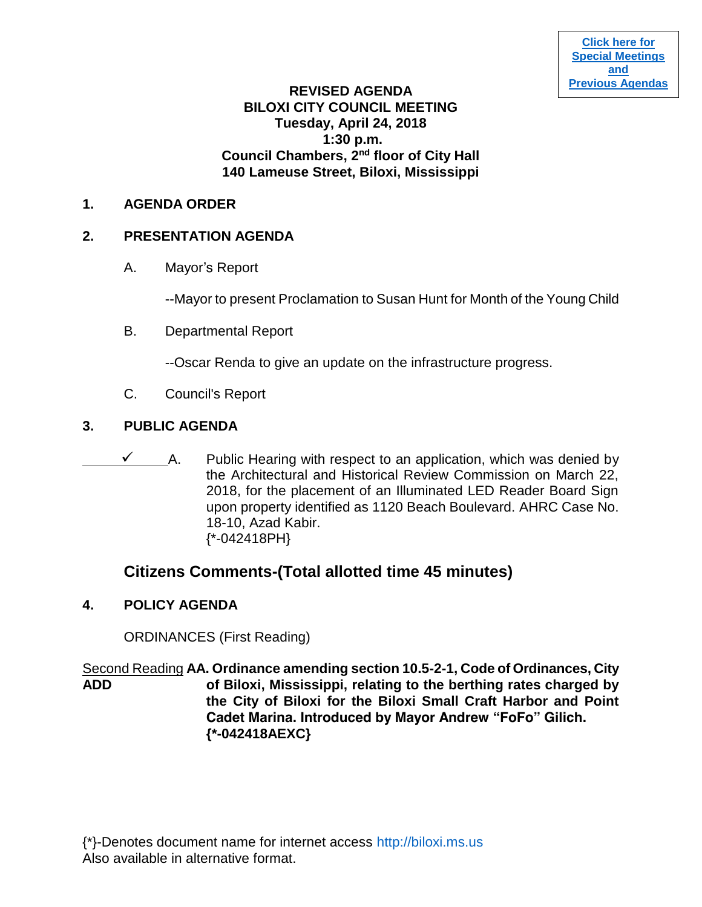## **REVISED AGENDA BILOXI CITY COUNCIL MEETING Tuesday, April 24, 2018 1:30 p.m. Council Chambers, 2nd floor of City Hall 140 Lameuse Street, Biloxi, Mississippi**

## **1. AGENDA ORDER**

# **2. PRESENTATION AGENDA**

A. Mayor's Report

--Mayor to present Proclamation to Susan Hunt for Month of the Young Child

B. Departmental Report

--Oscar Renda to give an update on the infrastructure progress.

C. Council's Report

# **3. PUBLIC AGENDA**

 $\checkmark$  A. Public Hearing with respect to an application, which was denied by the Architectural and Historical Review Commission on March 22, 2018, for the placement of an Illuminated LED Reader Board Sign upon property identified as 1120 Beach Boulevard. AHRC Case No. 18-10, Azad Kabir. {\*-042418PH}

# **Citizens Comments-(Total allotted time 45 minutes)**

**4. POLICY AGENDA**

ORDINANCES (First Reading)

Second Reading **AA. Ordinance amending section 10.5-2-1, Code of Ordinances, City ADD of Biloxi, Mississippi, relating to the berthing rates charged by the City of Biloxi for the Biloxi Small Craft Harbor and Point Cadet Marina. Introduced by Mayor Andrew "FoFo" Gilich. {\*-042418AEXC}**

{\*}-Denotes document name for internet access [http://biloxi.ms.us](http://biloxi.ms.us/) Also available in alternative format.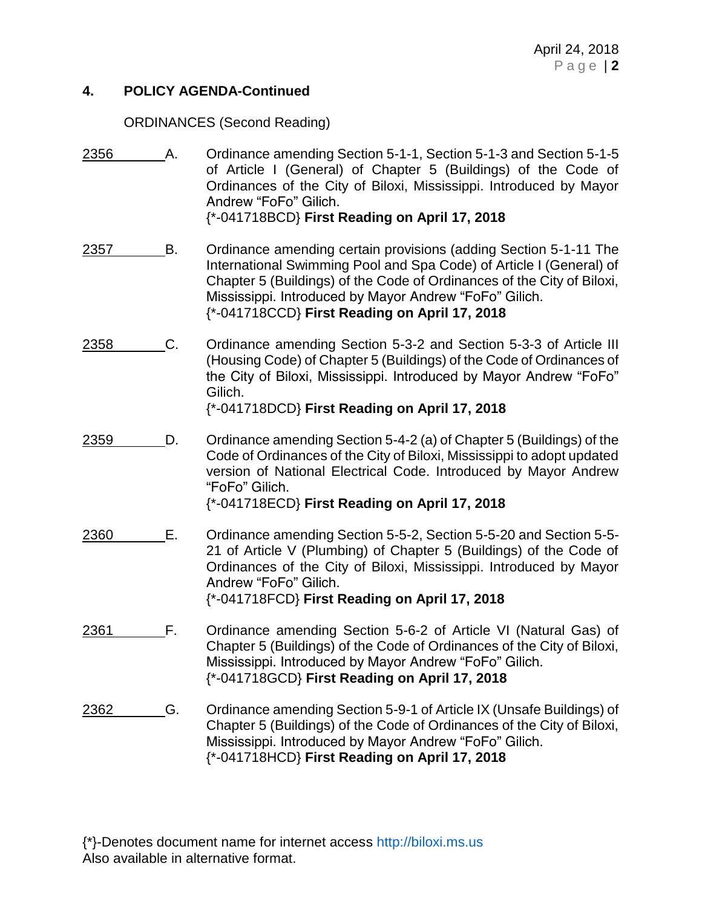#### **4. POLICY AGENDA-Continued**

## ORDINANCES (Second Reading)

- 2356 A. Ordinance amending Section 5-1-1, Section 5-1-3 and Section 5-1-5 of Article I (General) of Chapter 5 (Buildings) of the Code of Ordinances of the City of Biloxi, Mississippi. Introduced by Mayor Andrew "FoFo" Gilich. {\*-041718BCD} **First Reading on April 17, 2018**
- 2357 B. Ordinance amending certain provisions (adding Section 5-1-11 The International Swimming Pool and Spa Code) of Article I (General) of Chapter 5 (Buildings) of the Code of Ordinances of the City of Biloxi, Mississippi. Introduced by Mayor Andrew "FoFo" Gilich. {\*-041718CCD} **First Reading on April 17, 2018**
- 2358 C. Ordinance amending Section 5-3-2 and Section 5-3-3 of Article III (Housing Code) of Chapter 5 (Buildings) of the Code of Ordinances of the City of Biloxi, Mississippi. Introduced by Mayor Andrew "FoFo" Gilich. {\*-041718DCD} **First Reading on April 17, 2018**
- 2359 D. Ordinance amending Section 5-4-2 (a) of Chapter 5 (Buildings) of the Code of Ordinances of the City of Biloxi, Mississippi to adopt updated version of National Electrical Code. Introduced by Mayor Andrew "FoFo" Gilich.

{\*-041718ECD} **First Reading on April 17, 2018**

- 2360 E. Ordinance amending Section 5-5-2, Section 5-5-20 and Section 5-5- 21 of Article V (Plumbing) of Chapter 5 (Buildings) of the Code of Ordinances of the City of Biloxi, Mississippi. Introduced by Mayor Andrew "FoFo" Gilich. {\*-041718FCD} **First Reading on April 17, 2018**
- 2361 F. Ordinance amending Section 5-6-2 of Article VI (Natural Gas) of Chapter 5 (Buildings) of the Code of Ordinances of the City of Biloxi, Mississippi. Introduced by Mayor Andrew "FoFo" Gilich. {\*-041718GCD} **First Reading on April 17, 2018**
- 2362 G. Ordinance amending Section 5-9-1 of Article IX (Unsafe Buildings) of Chapter 5 (Buildings) of the Code of Ordinances of the City of Biloxi, Mississippi. Introduced by Mayor Andrew "FoFo" Gilich. {\*-041718HCD} **First Reading on April 17, 2018**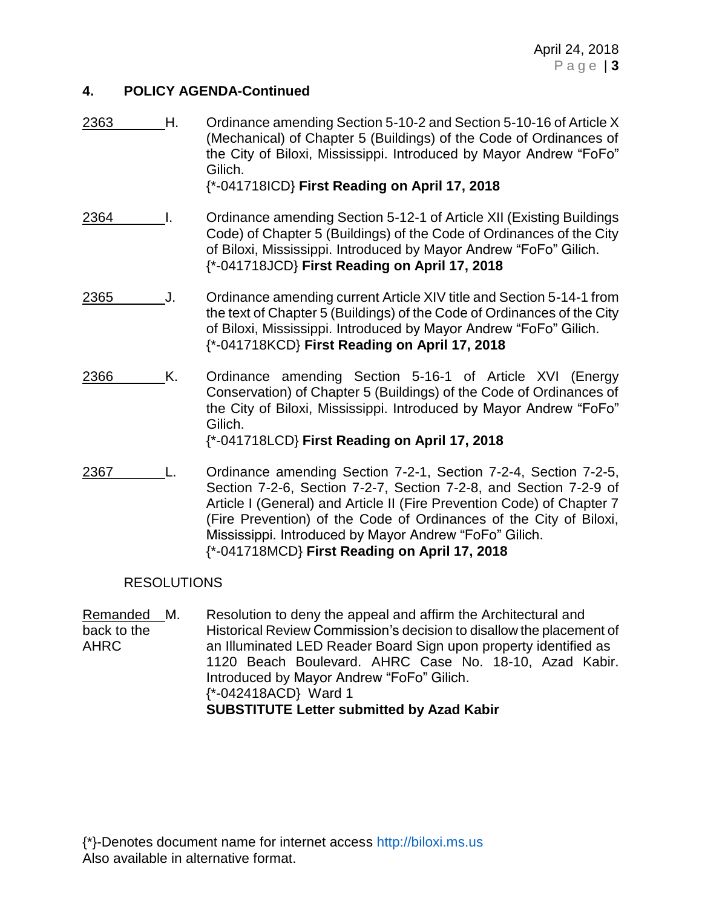#### **4. POLICY AGENDA-Continued**

| 2363 | Η. | Ordinance amending Section 5-10-2 and Section 5-10-16 of Article X<br>(Mechanical) of Chapter 5 (Buildings) of the Code of Ordinances of<br>the City of Biloxi, Mississippi. Introduced by Mayor Andrew "FoFo"<br>Gilich.<br>{*-041718ICD} First Reading on April 17, 2018                                                                                                                      |
|------|----|-------------------------------------------------------------------------------------------------------------------------------------------------------------------------------------------------------------------------------------------------------------------------------------------------------------------------------------------------------------------------------------------------|
| 2364 |    | Ordinance amending Section 5-12-1 of Article XII (Existing Buildings<br>Code) of Chapter 5 (Buildings) of the Code of Ordinances of the City<br>of Biloxi, Mississippi. Introduced by Mayor Andrew "FoFo" Gilich.<br>{*-041718JCD} First Reading on April 17, 2018                                                                                                                              |
| 2365 | J. | Ordinance amending current Article XIV title and Section 5-14-1 from<br>the text of Chapter 5 (Buildings) of the Code of Ordinances of the City<br>of Biloxi, Mississippi. Introduced by Mayor Andrew "FoFo" Gilich.<br>{*-041718KCD} First Reading on April 17, 2018                                                                                                                           |
| 2366 | Κ. | Ordinance amending Section 5-16-1 of Article XVI (Energy<br>Conservation) of Chapter 5 (Buildings) of the Code of Ordinances of<br>the City of Biloxi, Mississippi. Introduced by Mayor Andrew "FoFo"<br>Gilich.<br>{*-041718LCD} First Reading on April 17, 2018                                                                                                                               |
| 2367 |    | Ordinance amending Section 7-2-1, Section 7-2-4, Section 7-2-5,<br>Section 7-2-6, Section 7-2-7, Section 7-2-8, and Section 7-2-9 of<br>Article I (General) and Article II (Fire Prevention Code) of Chapter 7<br>(Fire Prevention) of the Code of Ordinances of the City of Biloxi,<br>Mississippi. Introduced by Mayor Andrew "FoFo" Gilich.<br>{*-041718MCD} First Reading on April 17, 2018 |

#### RESOLUTIONS

Remanded M. Resolution to deny the appeal and affirm the Architectural and back to the Historical Review Commission's decision to disallow the placement of AHRC an Illuminated LED Reader Board Sign upon property identified as 1120 Beach Boulevard. AHRC Case No. 18-10, Azad Kabir. Introduced by Mayor Andrew "FoFo" Gilich. {\*-042418ACD} Ward 1 **SUBSTITUTE Letter submitted by Azad Kabir**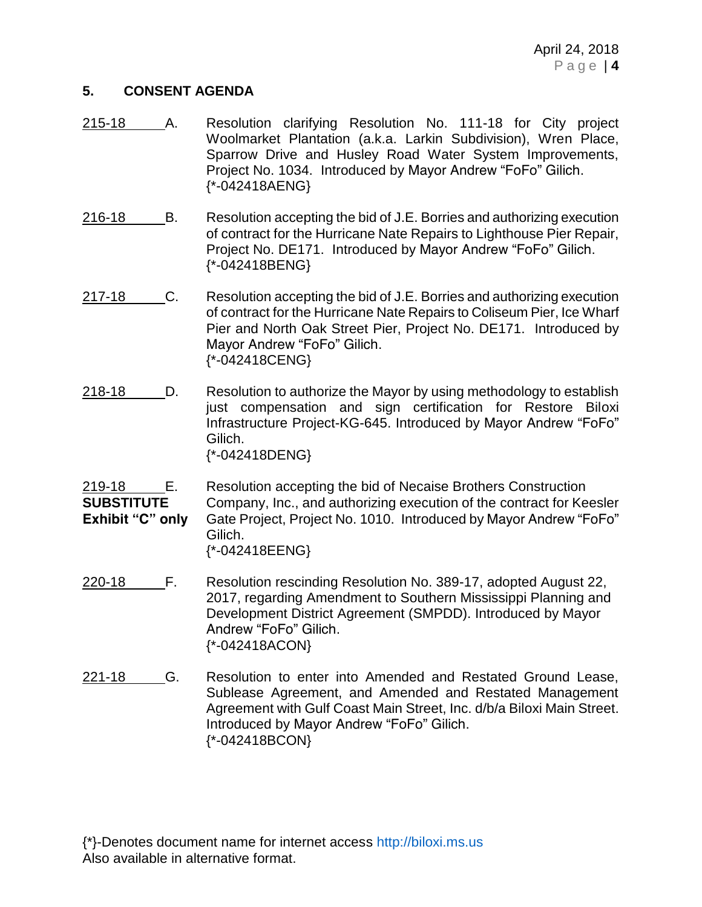#### **5. CONSENT AGENDA**

- 215-18 A. Resolution clarifying Resolution No. 111-18 for City project Woolmarket Plantation (a.k.a. Larkin Subdivision), Wren Place, Sparrow Drive and Husley Road Water System Improvements, Project No. 1034. Introduced by Mayor Andrew "FoFo" Gilich. {\*-042418AENG}
- 216-18 B. Resolution accepting the bid of J.E. Borries and authorizing execution of contract for the Hurricane Nate Repairs to Lighthouse Pier Repair, Project No. DE171. Introduced by Mayor Andrew "FoFo" Gilich. {\*-042418BENG}
- 217-18 C. Resolution accepting the bid of J.E. Borries and authorizing execution of contract for the Hurricane Nate Repairs to Coliseum Pier, Ice Wharf Pier and North Oak Street Pier, Project No. DE171. Introduced by Mayor Andrew "FoFo" Gilich. {\*-042418CENG}
- 218-18 D. Resolution to authorize the Mayor by using methodology to establish just compensation and sign certification for Restore Biloxi Infrastructure Project-KG-645. Introduced by Mayor Andrew "FoFo" Gilich. {\*-042418DENG}
- 219-18 E. Resolution accepting the bid of Necaise Brothers Construction **SUBSTITUTE** Company, Inc., and authorizing execution of the contract for Keesler **Exhibit "C" only** Gate Project, Project No. 1010. Introduced by Mayor Andrew "FoFo" Gilich. {\*-042418EENG}
- 220-18 F. Resolution rescinding Resolution No. 389-17, adopted August 22, 2017, regarding Amendment to Southern Mississippi Planning and Development District Agreement (SMPDD). Introduced by Mayor Andrew "FoFo" Gilich. {\*-042418ACON}
- 221-18 G. Resolution to enter into Amended and Restated Ground Lease, Sublease Agreement, and Amended and Restated Management Agreement with Gulf Coast Main Street, Inc. d/b/a Biloxi Main Street. Introduced by Mayor Andrew "FoFo" Gilich. {\*-042418BCON}

{\*}-Denotes document name for internet access [http://biloxi.ms.us](http://biloxi.ms.us/) Also available in alternative format.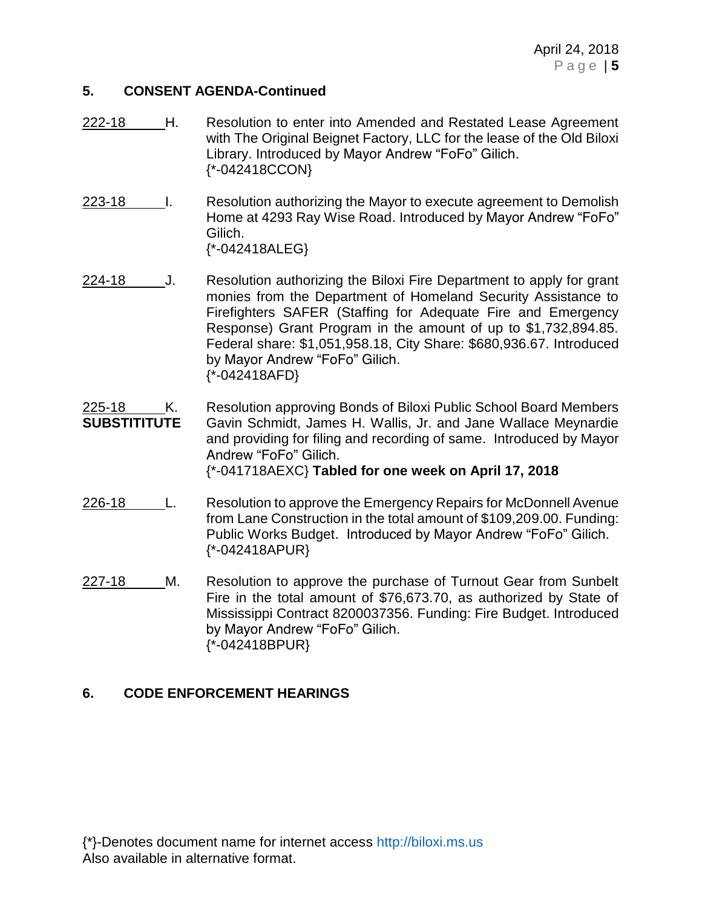#### **5. CONSENT AGENDA-Continued**

- 222-18 H. Resolution to enter into Amended and Restated Lease Agreement with The Original Beignet Factory, LLC for the lease of the Old Biloxi Library. Introduced by Mayor Andrew "FoFo" Gilich. {\*-042418CCON}
- 223-18 I. Resolution authorizing the Mayor to execute agreement to Demolish Home at 4293 Ray Wise Road. Introduced by Mayor Andrew "FoFo" Gilich. {\*-042418ALEG}
- 224-18 J. Resolution authorizing the Biloxi Fire Department to apply for grant monies from the Department of Homeland Security Assistance to Firefighters SAFER (Staffing for Adequate Fire and Emergency Response) Grant Program in the amount of up to \$1,732,894.85. Federal share: \$1,051,958.18, City Share: \$680,936.67. Introduced by Mayor Andrew "FoFo" Gilich. {\*-042418AFD}
- 225-18 K. Resolution approving Bonds of Biloxi Public School Board Members **SUBSTITITUTE** Gavin Schmidt, James H. Wallis, Jr. and Jane Wallace Meynardie and providing for filing and recording of same. Introduced by Mayor Andrew "FoFo" Gilich.

{\*-041718AEXC} **Tabled for one week on April 17, 2018**

- 226-18 L. Resolution to approve the Emergency Repairs for McDonnell Avenue from Lane Construction in the total amount of \$109,209.00. Funding: Public Works Budget. Introduced by Mayor Andrew "FoFo" Gilich. {\*-042418APUR}
- 227-18 M. Resolution to approve the purchase of Turnout Gear from Sunbelt Fire in the total amount of \$76,673.70, as authorized by State of Mississippi Contract 8200037356. Funding: Fire Budget. Introduced by Mayor Andrew "FoFo" Gilich. {\*-042418BPUR}

#### **6. CODE ENFORCEMENT HEARINGS**